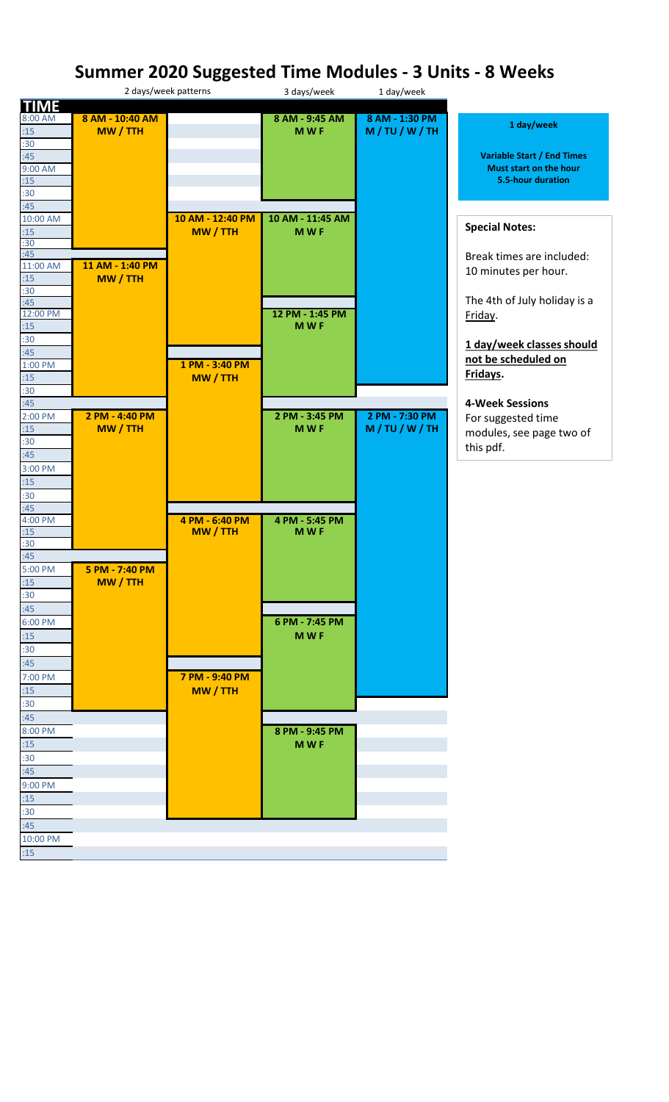## **Summer 2020 Suggested Time Modules - 3 Units - 8 Weeks**

|                 |                 | 2 days/week patterns | 3 days/week      | 1 day/week     |                                   |
|-----------------|-----------------|----------------------|------------------|----------------|-----------------------------------|
| <b>TIME</b>     |                 |                      |                  |                |                                   |
| 8:00 AM         | 8 AM - 10:40 AM |                      | 8 AM - 9:45 AM   | 8 AM - 1:30 PM | 1 day/week                        |
| :15             | MW / TTH        |                      | <b>MWF</b>       | M/TU/W/TH      |                                   |
| :30             |                 |                      |                  |                |                                   |
| :45             |                 |                      |                  |                | <b>Variable Start / End Times</b> |
| 9:00 AM         |                 |                      |                  |                | Must start on the hour            |
| :15             |                 |                      |                  |                | 5.5-hour duration                 |
| :30             |                 |                      |                  |                |                                   |
| :45             |                 |                      |                  |                |                                   |
| 10:00 AM        |                 | 10 AM - 12:40 PM     | 10 AM - 11:45 AM |                | <b>Special Notes:</b>             |
| :15             |                 | MW / TTH             | <b>MWF</b>       |                |                                   |
| :30             |                 |                      |                  |                |                                   |
| :45<br>11:00 AM | 11 AM - 1:40 PM |                      |                  |                | Break times are included:         |
|                 |                 |                      |                  |                | 10 minutes per hour.              |
| :15<br>:30      | MW / TTH        |                      |                  |                |                                   |
| :45             |                 |                      |                  |                | The 4th of July holiday is a      |
| 12:00 PM        |                 |                      | 12 PM - 1:45 PM  |                | Friday.                           |
| :15             |                 |                      | <b>MWF</b>       |                |                                   |
| :30             |                 |                      |                  |                |                                   |
| :45             |                 |                      |                  |                | 1 day/week classes should         |
| 1:00 PM         |                 | 1 PM - 3:40 PM       |                  |                | not be scheduled on               |
| :15             |                 | MW / TTH             |                  |                | Fridays.                          |
| :30             |                 |                      |                  |                |                                   |
| :45             |                 |                      |                  |                | <b>4-Week Sessions</b>            |
| 2:00 PM         | 2 PM - 4:40 PM  |                      | 2 PM - 3:45 PM   | 2 PM - 7:30 PM | For suggested time                |
| :15             | MW / TTH        |                      | <b>MWF</b>       | M/TU/W/TH      |                                   |
| :30             |                 |                      |                  |                | modules, see page two of          |
| :45             |                 |                      |                  |                | this pdf.                         |
| 3:00 PM         |                 |                      |                  |                |                                   |
|                 |                 |                      |                  |                |                                   |
| :15             |                 |                      |                  |                |                                   |
| :30             |                 |                      |                  |                |                                   |
| :45<br>4:00 PM  |                 | 4 PM - 6:40 PM       | 4 PM - 5:45 PM   |                |                                   |
| :15             |                 | MW / TTH             | <b>MWF</b>       |                |                                   |
| :30             |                 |                      |                  |                |                                   |
| :45             |                 |                      |                  |                |                                   |
| 5:00 PM         | 5 PM - 7:40 PM  |                      |                  |                |                                   |
| :15             | <b>MW/TTH</b>   |                      |                  |                |                                   |
| :30             |                 |                      |                  |                |                                   |
| :45             |                 |                      |                  |                |                                   |
| 6:00 PM         |                 |                      | 6 PM - 7:45 PM   |                |                                   |
| :15             |                 |                      | <b>MWF</b>       |                |                                   |
|                 |                 |                      |                  |                |                                   |
| :30             |                 |                      |                  |                |                                   |
| :45             |                 |                      |                  |                |                                   |
| 7:00 PM         |                 | 7 PM - 9:40 PM       |                  |                |                                   |
| :15             |                 | MW / TTH             |                  |                |                                   |
| :30             |                 |                      |                  |                |                                   |
| :45             |                 |                      |                  |                |                                   |
| 8:00 PM         |                 |                      | 8 PM - 9:45 PM   |                |                                   |
| :15             |                 |                      | <b>MWF</b>       |                |                                   |
| :30             |                 |                      |                  |                |                                   |
| :45             |                 |                      |                  |                |                                   |
| 9:00 PM         |                 |                      |                  |                |                                   |
| :15             |                 |                      |                  |                |                                   |
| :30             |                 |                      |                  |                |                                   |
| :45             |                 |                      |                  |                |                                   |
| 10:00 PM        |                 |                      |                  |                |                                   |
| :15             |                 |                      |                  |                |                                   |
|                 |                 |                      |                  |                |                                   |